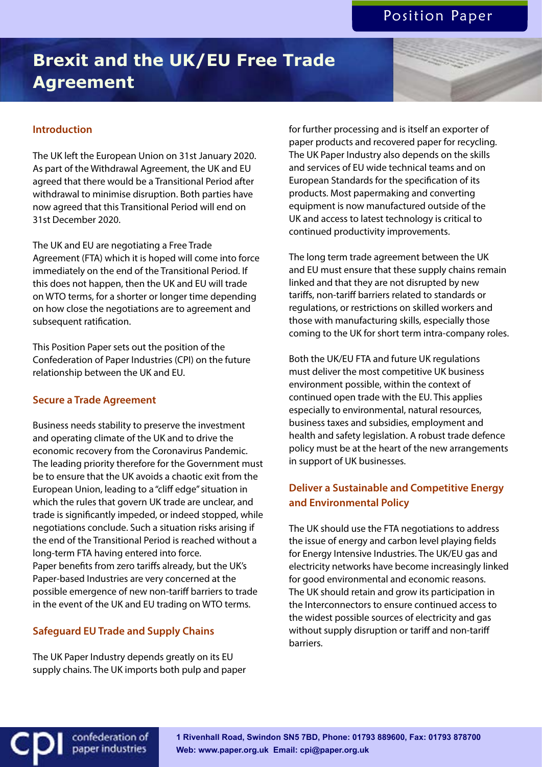# **Brexit and the UK/EU Free Trade Agreement**

## **Introduction**

The UK left the European Union on 31st January 2020. As part of the Withdrawal Agreement, the UK and EU agreed that there would be a Transitional Period after withdrawal to minimise disruption. Both parties have now agreed that this Transitional Period will end on 31st December 2020.

The UK and EU are negotiating a Free Trade Agreement (FTA) which it is hoped will come into force immediately on the end of the Transitional Period. If this does not happen, then the UK and EU will trade on WTO terms, for a shorter or longer time depending on how close the negotiations are to agreement and subsequent ratification.

This Position Paper sets out the position of the Confederation of Paper Industries (CPI) on the future relationship between the UK and EU.

#### **Secure a Trade Agreement**

Business needs stability to preserve the investment and operating climate of the UK and to drive the economic recovery from the Coronavirus Pandemic. The leading priority therefore for the Government must be to ensure that the UK avoids a chaotic exit from the European Union, leading to a "cliff edge" situation in which the rules that govern UK trade are unclear, and trade is significantly impeded, or indeed stopped, while negotiations conclude. Such a situation risks arising if the end of the Transitional Period is reached without a long-term FTA having entered into force. Paper benefits from zero tariffs already, but the UK's Paper-based Industries are very concerned at the possible emergence of new non-tariff barriers to trade in the event of the UK and EU trading on WTO terms.

#### **Safeguard EU Trade and Supply Chains**

confederation of paper industries

The UK Paper Industry depends greatly on its EU supply chains. The UK imports both pulp and paper for further processing and is itself an exporter of paper products and recovered paper for recycling. The UK Paper Industry also depends on the skills and services of EU wide technical teams and on European Standards for the specification of its products. Most papermaking and converting equipment is now manufactured outside of the UK and access to latest technology is critical to continued productivity improvements.

The long term trade agreement between the UK and EU must ensure that these supply chains remain linked and that they are not disrupted by new tariffs, non-tariff barriers related to standards or regulations, or restrictions on skilled workers and those with manufacturing skills, especially those coming to the UK for short term intra-company roles.

Both the UK/EU FTA and future UK regulations must deliver the most competitive UK business environment possible, within the context of continued open trade with the EU. This applies especially to environmental, natural resources, business taxes and subsidies, employment and health and safety legislation. A robust trade defence policy must be at the heart of the new arrangements in support of UK businesses.

# **Deliver a Sustainable and Competitive Energy and Environmental Policy**

The UK should use the FTA negotiations to address the issue of energy and carbon level playing fields for Energy Intensive Industries. The UK/EU gas and electricity networks have become increasingly linked for good environmental and economic reasons. The UK should retain and grow its participation in the Interconnectors to ensure continued access to the widest possible sources of electricity and gas without supply disruption or tariff and non-tariff barriers.